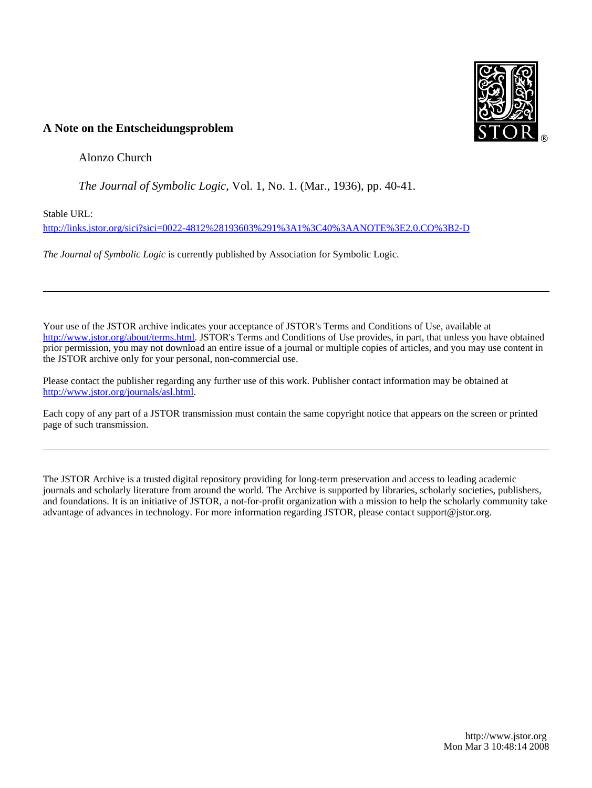

# **A Note on the Entscheidungsproblem**

Alonzo Church

*The Journal of Symbolic Logic*, Vol. 1, No. 1. (Mar., 1936), pp. 40-41.

Stable URL:

<http://links.jstor.org/sici?sici=0022-4812%28193603%291%3A1%3C40%3AANOTE%3E2.0.CO%3B2-D>

*The Journal of Symbolic Logic* is currently published by Association for Symbolic Logic.

Your use of the JSTOR archive indicates your acceptance of JSTOR's Terms and Conditions of Use, available at [http://www.jstor.org/about/terms.html.](http://www.jstor.org/about/terms.html) JSTOR's Terms and Conditions of Use provides, in part, that unless you have obtained prior permission, you may not download an entire issue of a journal or multiple copies of articles, and you may use content in the JSTOR archive only for your personal, non-commercial use.

Please contact the publisher regarding any further use of this work. Publisher contact information may be obtained at [http://www.jstor.org/journals/asl.html.](http://www.jstor.org/journals/asl.html)

Each copy of any part of a JSTOR transmission must contain the same copyright notice that appears on the screen or printed page of such transmission.

The JSTOR Archive is a trusted digital repository providing for long-term preservation and access to leading academic journals and scholarly literature from around the world. The Archive is supported by libraries, scholarly societies, publishers, and foundations. It is an initiative of JSTOR, a not-for-profit organization with a mission to help the scholarly community take advantage of advances in technology. For more information regarding JSTOR, please contact support@jstor.org.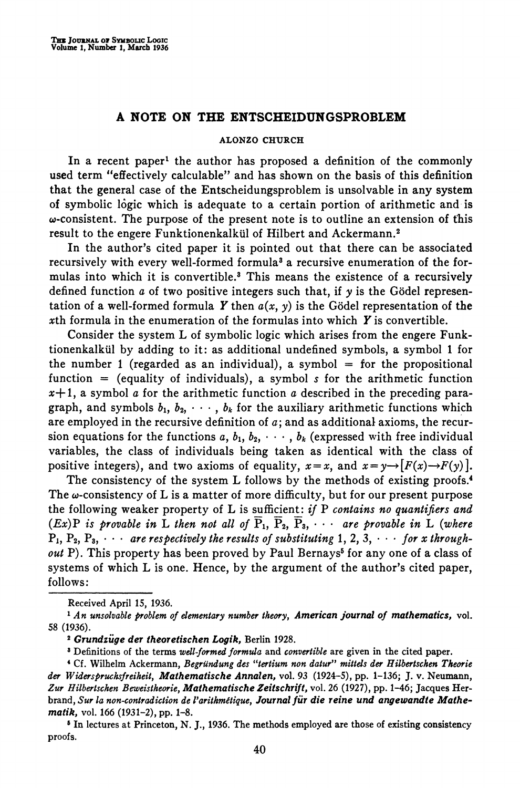## **A NOTE ON THE ENTSCHEIDUNGSPROBLEM**

### **ALONZO CHURCH**

In a recent paper<sup>1</sup> the author has proposed a definition of the commonly used term "effectively calculable" and has shown on the basis of this definition that the general case of the Entscheidungsproblem is unsolvable in any system of symbolic logic which is adequate to a certain portion of arithmetic and is w-consistent. The purpose of the present note is to outline an extension of this result to the engere Funktionenkalkül of Hilbert and Ackermann.<sup>2</sup>

In the author's cited paper it is pointed out that there can be associated recursively with every well-formed formula<sup>3</sup> a recursive enumeration of the formulas into which it is convertible. ${}^{3}$  This means the existence of a recursively defined function a of two positive integers such that, if  $\gamma$  is the Gödel representation of a well-formed formula Y then  $a(x, y)$  is the Gödel representation of the xth formula in the enumeration of the formulas into which  $Y$  is convertible.

Consider the system L of symbolic logic which arises from the engere Funktionenkalkul by adding to it: as additional undefined symbols, a symbol 1 for the number 1 (regarded as an individual), a symbol  $=$  for the propositional function  $=$  (equality of individuals), a symbol s for the arithmetic function  $x+1$ , a symbol *a* for the arithmetic function *a* described in the preceding paragraph, and symbols  $b_1, b_2, \dots, b_k$  for the auxiliary arithmetic functions which are employed in the recursive definition of  $a$ ; and as additional axioms, the recursion equations for the functions a,  $b_1, b_2, \cdots, b_k$  (expressed with free individual variables, the class of individuals being taken as identical with the class of positive integers), and two axioms of equality,  $x=x$ , and  $x=\gamma \rightarrow [F(x)\rightarrow F(\gamma)]$ .

The consistency of the system L follows by the methods of existing proofs.<sup>4</sup> The  $\omega$ -consistency of L is a matter of more difficulty, but for our present purpose the following weaker property of  $L$  is sufficient: if  $P$  contains no quantifiers and (Ex)P is provable in L then not all of  $\overline{P}_1$ ,  $\overline{P}_2$ ,  $\overline{P}_3$ ,  $\cdots$  are provable in L (where  $P_1, P_2, P_3, \cdots$  are respectively the results of substituting 1, 2, 3,  $\cdots$  for x throughout P). This property has been proved by Paul Bernays<sup>5</sup> for any one of a class of systems of which L is one. Hence, by the argument of the author's cited paper, follows:

**Received April** *15, 1936.* 

*An unsolvable problem of elementary number theory, American journal of mathematics,* **vol.**  *58 (1936).* 

*Grundziige der theoretischen Logik,* **Berlin** *1928.* 

<sup>3</sup> Definitions of the terms well-formed formula and convertible are given in the cited paper.<br><sup>4</sup> Cf. Wilhelm Ackermann, Begründung des "tertium non datur" mittels der Hilbertschen Theorie *dm Widerspruchsjreiheit, Mafhemafische Annalen,* **vol.** *93 (1924-5),* **pp.** *1-136; J.* **v. Neumann,**  *Zur Hilbertschen Beweistheorie, Mathemafische Zeitschrijt,* **vol.** *26 (1927),* **pp.** *1-46;* **Jacques Her**brand, Sur la non-contradiction de l'arithmétique, Journal für die reine und angewandte Mathe*mafik,* **vol.** *166 (1931-2),* **pp.** *1-8.* 

**<sup>6</sup>In lectures at Princeton, N.** *J., 1936.* **The methods employed are those of existing consistency proofs.**